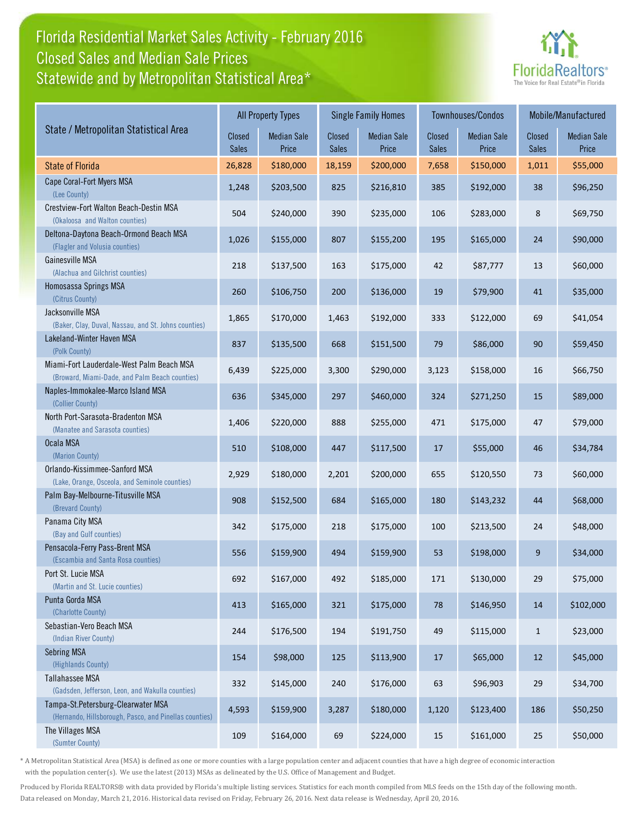## Florida Residential Market Sales Activity - February 2016 Statewide and by Metropolitan Statistical Area\* Closed Sales and Median Sale Prices



|                                                                                              |                        | <b>All Property Types</b>   |                 | <b>Single Family Homes</b>  |                        | Townhouses/Condos           | Mobile/Manufactured    |                             |
|----------------------------------------------------------------------------------------------|------------------------|-----------------------------|-----------------|-----------------------------|------------------------|-----------------------------|------------------------|-----------------------------|
| State / Metropolitan Statistical Area                                                        | Closed<br><b>Sales</b> | <b>Median Sale</b><br>Price | Closed<br>Sales | <b>Median Sale</b><br>Price | Closed<br><b>Sales</b> | <b>Median Sale</b><br>Price | Closed<br><b>Sales</b> | <b>Median Sale</b><br>Price |
| <b>State of Florida</b>                                                                      | 26,828                 | \$180,000                   | 18,159          | \$200,000                   | 7,658                  | \$150,000                   | 1,011                  | \$55,000                    |
| Cape Coral-Fort Myers MSA<br>(Lee County)                                                    | 1,248                  | \$203,500                   | 825             | \$216,810                   | 385                    | \$192,000                   | 38                     | \$96,250                    |
| Crestview-Fort Walton Beach-Destin MSA<br>(Okaloosa and Walton counties)                     | 504                    | \$240,000                   | 390             | \$235,000                   | 106                    | \$283,000                   | 8                      | \$69,750                    |
| Deltona-Daytona Beach-Ormond Beach MSA<br>(Flagler and Volusia counties)                     | 1,026                  | \$155,000                   | 807             | \$155,200                   | 195                    | \$165,000                   | 24                     | \$90,000                    |
| Gainesville MSA<br>(Alachua and Gilchrist counties)                                          | 218                    | \$137,500                   | 163             | \$175,000                   | 42                     | \$87,777                    | 13                     | \$60,000                    |
| Homosassa Springs MSA<br>(Citrus County)                                                     | 260                    | \$106,750                   | 200             | \$136,000                   | 19                     | \$79,900                    | 41                     | \$35,000                    |
| Jacksonville MSA<br>(Baker, Clay, Duval, Nassau, and St. Johns counties)                     | 1,865                  | \$170,000                   | 1,463           | \$192,000                   | 333                    | \$122,000                   | 69                     | \$41,054                    |
| Lakeland-Winter Haven MSA<br>(Polk County)                                                   | 837                    | \$135,500                   | 668             | \$151,500                   | 79                     | \$86,000                    | 90                     | \$59,450                    |
| Miami-Fort Lauderdale-West Palm Beach MSA<br>(Broward, Miami-Dade, and Palm Beach counties)  | 6,439                  | \$225,000                   | 3,300           | \$290,000                   | 3,123                  | \$158,000                   | 16                     | \$66,750                    |
| Naples-Immokalee-Marco Island MSA<br>(Collier County)                                        | 636                    | \$345,000                   | 297             | \$460,000                   | 324                    | \$271,250                   | 15                     | \$89,000                    |
| North Port-Sarasota-Bradenton MSA<br>(Manatee and Sarasota counties)                         | 1,406                  | \$220,000                   | 888             | \$255,000                   | 471                    | \$175,000                   | 47                     | \$79,000                    |
| Ocala MSA<br>(Marion County)                                                                 | 510                    | \$108,000                   | 447             | \$117,500                   | 17                     | \$55,000                    | 46                     | \$34,784                    |
| Orlando-Kissimmee-Sanford MSA<br>(Lake, Orange, Osceola, and Seminole counties)              | 2,929                  | \$180,000                   | 2,201           | \$200,000                   | 655                    | \$120,550                   | 73                     | \$60,000                    |
| Palm Bay-Melbourne-Titusville MSA<br>(Brevard County)                                        | 908                    | \$152,500                   | 684             | \$165,000                   | 180                    | \$143,232                   | 44                     | \$68,000                    |
| Panama City MSA<br>(Bay and Gulf counties)                                                   | 342                    | \$175,000                   | 218             | \$175,000                   | 100                    | \$213,500                   | 24                     | \$48,000                    |
| Pensacola-Ferry Pass-Brent MSA<br>(Escambia and Santa Rosa counties)                         | 556                    | \$159,900                   | 494             | \$159,900                   | 53                     | \$198,000                   | 9                      | \$34,000                    |
| Port St. Lucie MSA<br>(Martin and St. Lucie counties)                                        | 692                    | \$167,000                   | 492             | \$185,000                   | 171                    | \$130,000                   | 29                     | \$75,000                    |
| Punta Gorda MSA<br>(Charlotte County)                                                        | 413                    | \$165,000                   | 321             | \$175,000                   | 78                     | \$146,950                   | 14                     | \$102,000                   |
| Sebastian-Vero Beach MSA<br>(Indian River County)                                            | 244                    | \$176,500                   | 194             | \$191,750                   | 49                     | \$115,000                   | $\mathbf{1}$           | \$23,000                    |
| <b>Sebring MSA</b><br>(Highlands County)                                                     | 154                    | \$98,000                    | 125             | \$113,900                   | 17                     | \$65,000                    | 12                     | \$45,000                    |
| Tallahassee MSA<br>(Gadsden, Jefferson, Leon, and Wakulla counties)                          | 332                    | \$145,000                   | 240             | \$176,000                   | 63                     | \$96,903                    | 29                     | \$34,700                    |
| Tampa-St.Petersburg-Clearwater MSA<br>(Hernando, Hillsborough, Pasco, and Pinellas counties) | 4,593                  | \$159,900                   | 3,287           | \$180,000                   | 1,120                  | \$123,400                   | 186                    | \$50,250                    |
| The Villages MSA<br>(Sumter County)                                                          | 109                    | \$164,000                   | 69              | \$224,000                   | 15                     | \$161,000                   | 25                     | \$50,000                    |

\* A Metropolitan Statistical Area (MSA) is defined as one or more counties with a large population center and adjacent counties that have a high degree of economic interaction with the population center(s). We use the latest (2013) MSAs as delineated by the U.S. Office of Management and Budget.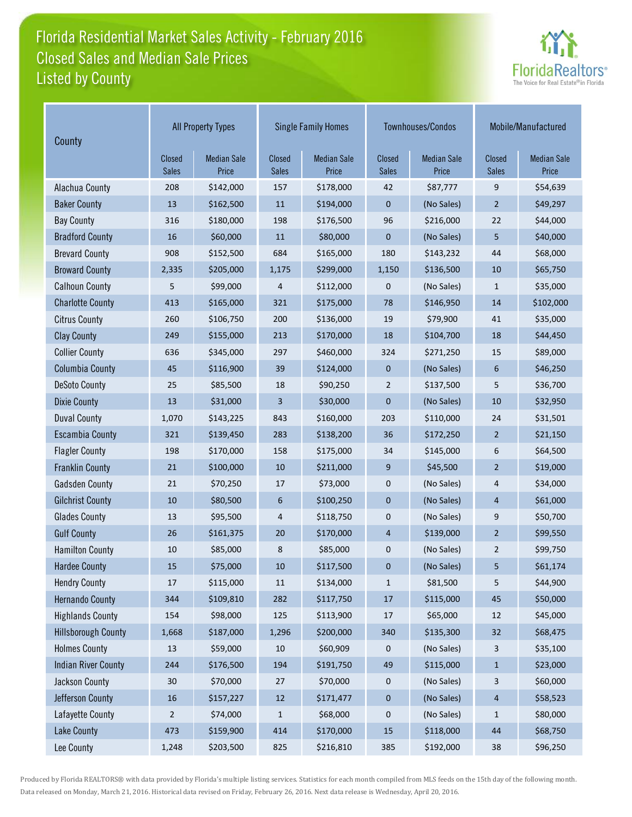# Florida Residential Market Sales Activity - February 2016 Listed by County Closed Sales and Median Sale Prices



| County                     | <b>All Property Types</b> |                             |                        | <b>Single Family Homes</b>  |                        | Townhouses/Condos           | Mobile/Manufactured    |                             |
|----------------------------|---------------------------|-----------------------------|------------------------|-----------------------------|------------------------|-----------------------------|------------------------|-----------------------------|
|                            | Closed<br><b>Sales</b>    | <b>Median Sale</b><br>Price | Closed<br><b>Sales</b> | <b>Median Sale</b><br>Price | Closed<br><b>Sales</b> | <b>Median Sale</b><br>Price | Closed<br><b>Sales</b> | <b>Median Sale</b><br>Price |
| Alachua County             | 208                       | \$142,000                   | 157                    | \$178,000                   | 42                     | \$87,777                    | 9                      | \$54,639                    |
| <b>Baker County</b>        | 13                        | \$162,500                   | 11                     | \$194,000                   | $\mathbf 0$            | (No Sales)                  | 2                      | \$49,297                    |
| <b>Bay County</b>          | 316                       | \$180,000                   | 198                    | \$176,500                   | 96                     | \$216,000                   | 22                     | \$44,000                    |
| <b>Bradford County</b>     | 16                        | \$60,000                    | 11                     | \$80,000                    | $\mathbf{0}$           | (No Sales)                  | 5                      | \$40,000                    |
| <b>Brevard County</b>      | 908                       | \$152,500                   | 684                    | \$165,000                   | 180                    | \$143,232                   | 44                     | \$68,000                    |
| <b>Broward County</b>      | 2,335                     | \$205,000                   | 1,175                  | \$299,000                   | 1,150                  | \$136,500                   | 10                     | \$65,750                    |
| <b>Calhoun County</b>      | 5                         | \$99,000                    | 4                      | \$112,000                   | $\mathbf 0$            | (No Sales)                  | $\mathbf{1}$           | \$35,000                    |
| <b>Charlotte County</b>    | 413                       | \$165,000                   | 321                    | \$175,000                   | 78                     | \$146,950                   | 14                     | \$102,000                   |
| <b>Citrus County</b>       | 260                       | \$106,750                   | 200                    | \$136,000                   | 19                     | \$79,900                    | 41                     | \$35,000                    |
| <b>Clay County</b>         | 249                       | \$155,000                   | 213                    | \$170,000                   | 18                     | \$104,700                   | 18                     | \$44,450                    |
| <b>Collier County</b>      | 636                       | \$345,000                   | 297                    | \$460,000                   | 324                    | \$271,250                   | 15                     | \$89,000                    |
| <b>Columbia County</b>     | 45                        | \$116,900                   | 39                     | \$124,000                   | $\mathbf{0}$           | (No Sales)                  | 6                      | \$46,250                    |
| <b>DeSoto County</b>       | 25                        | \$85,500                    | 18                     | \$90,250                    | $\overline{2}$         | \$137,500                   | 5                      | \$36,700                    |
| <b>Dixie County</b>        | 13                        | \$31,000                    | 3                      | \$30,000                    | $\pmb{0}$              | (No Sales)                  | 10                     | \$32,950                    |
| <b>Duval County</b>        | 1,070                     | \$143,225                   | 843                    | \$160,000                   | 203                    | \$110,000                   | 24                     | \$31,501                    |
| <b>Escambia County</b>     | 321                       | \$139,450                   | 283                    | \$138,200                   | 36                     | \$172,250                   | $\overline{2}$         | \$21,150                    |
| <b>Flagler County</b>      | 198                       | \$170,000                   | 158                    | \$175,000                   | 34                     | \$145,000                   | 6                      | \$64,500                    |
| <b>Franklin County</b>     | 21                        | \$100,000                   | 10                     | \$211,000                   | 9                      | \$45,500                    | $\overline{2}$         | \$19,000                    |
| <b>Gadsden County</b>      | 21                        | \$70,250                    | 17                     | \$73,000                    | $\boldsymbol{0}$       | (No Sales)                  | 4                      | \$34,000                    |
| <b>Gilchrist County</b>    | 10                        | \$80,500                    | 6                      | \$100,250                   | $\mathbf 0$            | (No Sales)                  | 4                      | \$61,000                    |
| <b>Glades County</b>       | 13                        | \$95,500                    | 4                      | \$118,750                   | $\mathbf 0$            | (No Sales)                  | 9                      | \$50,700                    |
| <b>Gulf County</b>         | 26                        | \$161,375                   | 20                     | \$170,000                   | 4                      | \$139,000                   | $\overline{2}$         | \$99,550                    |
| <b>Hamilton County</b>     | 10                        | \$85,000                    | 8                      | \$85,000                    | $\boldsymbol{0}$       | (No Sales)                  | $\overline{2}$         | \$99,750                    |
| <b>Hardee County</b>       | 15                        | \$75,000                    | 10                     | \$117,500                   | $\mathbf{0}$           | (No Sales)                  | 5                      | \$61,174                    |
| <b>Hendry County</b>       | 17                        | \$115,000                   | 11                     | \$134,000                   | 1                      | \$81,500                    | 5                      | \$44,900                    |
| <b>Hernando County</b>     | 344                       | \$109,810                   | 282                    | \$117,750                   | $17\,$                 | \$115,000                   | 45                     | \$50,000                    |
| <b>Highlands County</b>    | 154                       | \$98,000                    | 125                    | \$113,900                   | 17                     | \$65,000                    | $12\,$                 | \$45,000                    |
| <b>Hillsborough County</b> | 1,668                     | \$187,000                   | 1,296                  | \$200,000                   | 340                    | \$135,300                   | 32                     | \$68,475                    |
| <b>Holmes County</b>       | 13                        | \$59,000                    | $10\,$                 | \$60,909                    | $\mathbf 0$            | (No Sales)                  | 3                      | \$35,100                    |
| <b>Indian River County</b> | 244                       | \$176,500                   | 194                    | \$191,750                   | 49                     | \$115,000                   | $\mathbf{1}$           | \$23,000                    |
| Jackson County             | 30                        | \$70,000                    | 27                     | \$70,000                    | $\mathbf 0$            | (No Sales)                  | 3                      | \$60,000                    |
| Jefferson County           | $16\,$                    | \$157,227                   | $12\,$                 | \$171,477                   | $\pmb{0}$              | (No Sales)                  | 4                      | \$58,523                    |
| Lafayette County           | $\overline{c}$            | \$74,000                    | $\mathbf{1}$           | \$68,000                    | 0                      | (No Sales)                  | $\mathbf{1}$           | \$80,000                    |
| <b>Lake County</b>         | 473                       | \$159,900                   | 414                    | \$170,000                   | $15\,$                 | \$118,000                   | $44\,$                 | \$68,750                    |
| Lee County                 | 1,248                     | \$203,500                   | 825                    | \$216,810                   | 385                    | \$192,000                   | 38                     | \$96,250                    |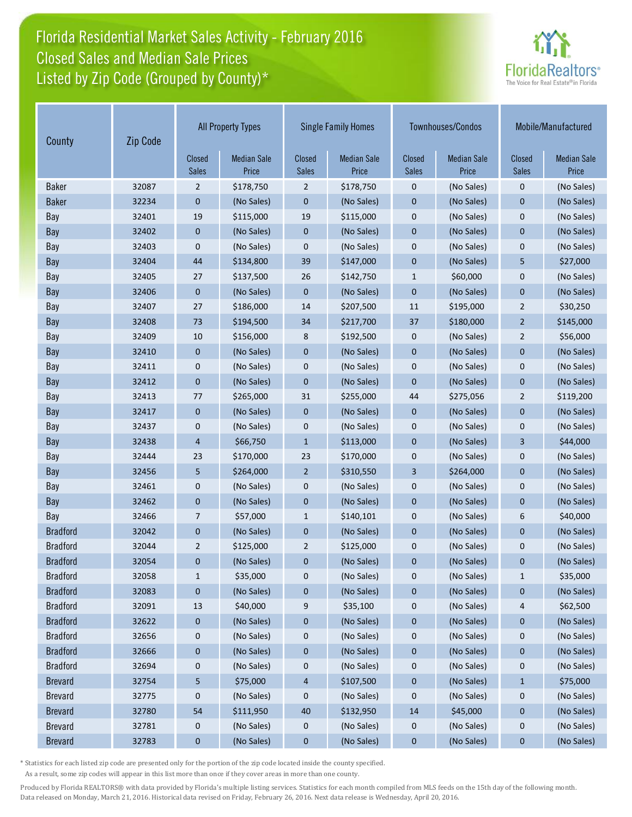## Florida Residential Market Sales Activity - February 2016 Listed by Zip Code (Grouped by County)\* Closed Sales and Median Sale Prices



| County          | Zip Code | <b>All Property Types</b> |                             |                               | <b>Single Family Homes</b>  |                               | Townhouses/Condos           | Mobile/Manufactured           |                             |
|-----------------|----------|---------------------------|-----------------------------|-------------------------------|-----------------------------|-------------------------------|-----------------------------|-------------------------------|-----------------------------|
|                 |          | Closed<br><b>Sales</b>    | <b>Median Sale</b><br>Price | <b>Closed</b><br><b>Sales</b> | <b>Median Sale</b><br>Price | <b>Closed</b><br><b>Sales</b> | <b>Median Sale</b><br>Price | <b>Closed</b><br><b>Sales</b> | <b>Median Sale</b><br>Price |
| <b>Baker</b>    | 32087    | $\overline{2}$            | \$178,750                   | $\overline{2}$                | \$178,750                   | 0                             | (No Sales)                  | $\mathbf 0$                   | (No Sales)                  |
| <b>Baker</b>    | 32234    | $\bf{0}$                  | (No Sales)                  | $\mathbf{0}$                  | (No Sales)                  | $\mathbf 0$                   | (No Sales)                  | $\mathbf{0}$                  | (No Sales)                  |
| Bay             | 32401    | 19                        | \$115,000                   | 19                            | \$115,000                   | $\mathbf 0$                   | (No Sales)                  | $\mathbf 0$                   | (No Sales)                  |
| Bay             | 32402    | $\boldsymbol{0}$          | (No Sales)                  | $\mathbf 0$                   | (No Sales)                  | $\mathbf{0}$                  | (No Sales)                  | $\mathbf{0}$                  | (No Sales)                  |
| Bay             | 32403    | $\mathbf 0$               | (No Sales)                  | $\mathbf{0}$                  | (No Sales)                  | $\mathbf 0$                   | (No Sales)                  | $\mathbf 0$                   | (No Sales)                  |
| Bay             | 32404    | 44                        | \$134,800                   | 39                            | \$147,000                   | $\overline{0}$                | (No Sales)                  | 5                             | \$27,000                    |
| Bay             | 32405    | 27                        | \$137,500                   | 26                            | \$142,750                   | $\mathbf{1}$                  | \$60,000                    | $\mathbf 0$                   | (No Sales)                  |
| Bay             | 32406    | $\mathbf{0}$              | (No Sales)                  | $\mathbf{0}$                  | (No Sales)                  | $\mathbf 0$                   | (No Sales)                  | $\overline{0}$                | (No Sales)                  |
| Bay             | 32407    | 27                        | \$186,000                   | 14                            | \$207,500                   | 11                            | \$195,000                   | $\overline{2}$                | \$30,250                    |
| Bay             | 32408    | 73                        | \$194,500                   | 34                            | \$217,700                   | 37                            | \$180,000                   | $\overline{2}$                | \$145,000                   |
| Bay             | 32409    | 10                        | \$156,000                   | 8                             | \$192,500                   | $\mathbf 0$                   | (No Sales)                  | $\overline{2}$                | \$56,000                    |
| Bay             | 32410    | $\mathbf{0}$              | (No Sales)                  | $\mathbf{0}$                  | (No Sales)                  | $\mathbf{0}$                  | (No Sales)                  | $\mathbf{0}$                  | (No Sales)                  |
| Bay             | 32411    | 0                         | (No Sales)                  | $\mathbf 0$                   | (No Sales)                  | $\mathbf 0$                   | (No Sales)                  | $\mathbf 0$                   | (No Sales)                  |
| Bay             | 32412    | $\mathbf{0}$              | (No Sales)                  | $\mathbf{0}$                  | (No Sales)                  | $\mathbf 0$                   | (No Sales)                  | $\mathbf{0}$                  | (No Sales)                  |
| Bay             | 32413    | 77                        | \$265,000                   | 31                            | \$255,000                   | 44                            | \$275,056                   | $\overline{2}$                | \$119,200                   |
| Bay             | 32417    | $\mathbf{0}$              | (No Sales)                  | $\mathbf 0$                   | (No Sales)                  | $\mathbf 0$                   | (No Sales)                  | $\mathbf{0}$                  | (No Sales)                  |
| Bay             | 32437    | 0                         | (No Sales)                  | $\pmb{0}$                     | (No Sales)                  | $\boldsymbol{0}$              | (No Sales)                  | $\mathbf 0$                   | (No Sales)                  |
| Bay             | 32438    | $\overline{4}$            | \$66,750                    | $\mathbf{1}$                  | \$113,000                   | $\mathbf 0$                   | (No Sales)                  | 3                             | \$44,000                    |
| Bay             | 32444    | 23                        | \$170,000                   | 23                            | \$170,000                   | $\mathbf 0$                   | (No Sales)                  | $\mathbf 0$                   | (No Sales)                  |
| Bay             | 32456    | 5                         | \$264,000                   | $\overline{2}$                | \$310,550                   | 3                             | \$264,000                   | $\mathbf{0}$                  | (No Sales)                  |
| Bay             | 32461    | 0                         | (No Sales)                  | 0                             | (No Sales)                  | $\mathbf 0$                   | (No Sales)                  | $\mathbf 0$                   | (No Sales)                  |
| Bay             | 32462    | $\mathbf{0}$              | (No Sales)                  | $\mathbf{0}$                  | (No Sales)                  | $\mathbf{0}$                  | (No Sales)                  | $\mathbf{0}$                  | (No Sales)                  |
| Bay             | 32466    | 7                         | \$57,000                    | $\mathbf{1}$                  | \$140,101                   | $\mathbf 0$                   | (No Sales)                  | 6                             | \$40,000                    |
| <b>Bradford</b> | 32042    | $\pmb{0}$                 | (No Sales)                  | $\boldsymbol{0}$              | (No Sales)                  | $\pmb{0}$                     | (No Sales)                  | $\mathbf{0}$                  | (No Sales)                  |
| <b>Bradford</b> | 32044    | $\overline{2}$            | \$125,000                   | $\overline{2}$                | \$125,000                   | $\mathbf 0$                   | (No Sales)                  | $\mathbf 0$                   | (No Sales)                  |
| <b>Bradford</b> | 32054    | 0                         | (No Sales)                  | 0                             | (No Sales)                  | $\mathbf 0$                   | (No Sales)                  | $\mathbf 0$                   | (No Sales)                  |
| <b>Bradford</b> | 32058    | $\mathbf{1}$              | \$35,000                    | 0                             | (No Sales)                  | 0                             | (No Sales)                  | $\mathbf{1}$                  | \$35,000                    |
| <b>Bradford</b> | 32083    | $\bf{0}$                  | (No Sales)                  | 0                             | (No Sales)                  | $\boldsymbol{0}$              | (No Sales)                  | $\bf{0}$                      | (No Sales)                  |
| <b>Bradford</b> | 32091    | 13                        | \$40,000                    | 9                             | \$35,100                    | 0                             | (No Sales)                  | 4                             | \$62,500                    |
| <b>Bradford</b> | 32622    | $\mathbf{0}$              | (No Sales)                  | 0                             | (No Sales)                  | $\bf{0}$                      | (No Sales)                  | $\pmb{0}$                     | (No Sales)                  |
| <b>Bradford</b> | 32656    | $\boldsymbol{0}$          | (No Sales)                  | $\boldsymbol{0}$              | (No Sales)                  | $\boldsymbol{0}$              | (No Sales)                  | 0                             | (No Sales)                  |
| <b>Bradford</b> | 32666    | $\boldsymbol{0}$          | (No Sales)                  | $\bf{0}$                      | (No Sales)                  | $\pmb{0}$                     | (No Sales)                  | $\pmb{0}$                     | (No Sales)                  |
| <b>Bradford</b> | 32694    | 0                         | (No Sales)                  | 0                             | (No Sales)                  | 0                             | (No Sales)                  | 0                             | (No Sales)                  |
| <b>Brevard</b>  | 32754    | 5                         | \$75,000                    | 4                             | \$107,500                   | $\bf{0}$                      | (No Sales)                  | $\mathbf{1}$                  | \$75,000                    |
| <b>Brevard</b>  | 32775    | 0                         | (No Sales)                  | 0                             | (No Sales)                  | $\boldsymbol{0}$              | (No Sales)                  | 0                             | (No Sales)                  |
| <b>Brevard</b>  | 32780    | 54                        | \$111,950                   | 40                            | \$132,950                   | 14                            | \$45,000                    | $\pmb{0}$                     | (No Sales)                  |
| <b>Brevard</b>  | 32781    | $\boldsymbol{0}$          | (No Sales)                  | 0                             | (No Sales)                  | 0                             | (No Sales)                  | 0                             | (No Sales)                  |
| <b>Brevard</b>  | 32783    | $\bf{0}$                  | (No Sales)                  | $\bf{0}$                      | (No Sales)                  | $\bf{0}$                      | (No Sales)                  | $\bf{0}$                      | (No Sales)                  |

\* Statistics for each listed zip code are presented only for the portion of the zip code located inside the county specified.

As a result, some zip codes will appear in this list more than once if they cover areas in more than one county.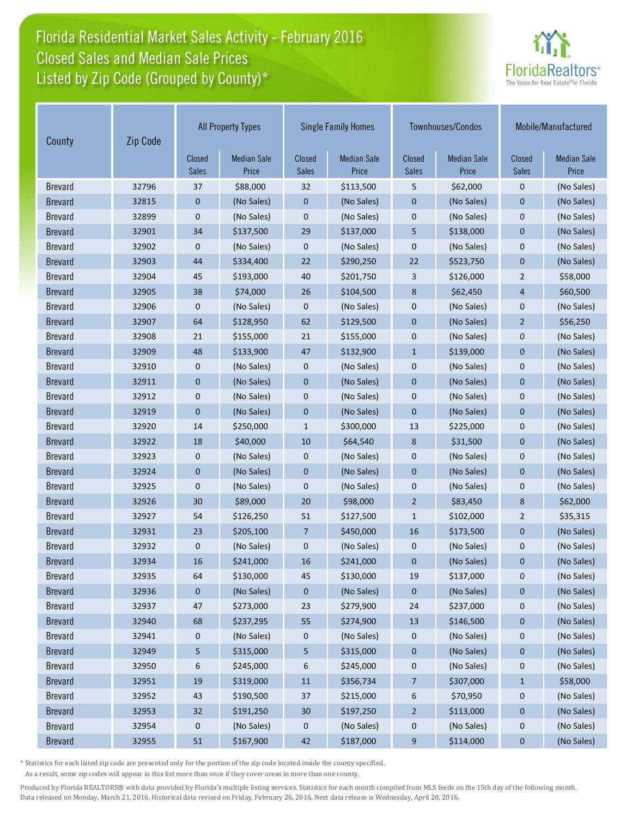## Florida Residential Market Sales Activity - February 2016 Listed by Zip Code (Grouped by County)\* Closed Sales and Median Sale Prices



| Zip Code<br>County |       | <b>All Property Types</b> |                             | <b>Single Family Homes</b> |                             |                        | Townhouses/Condos           | Mobile/Manufactured           |                             |
|--------------------|-------|---------------------------|-----------------------------|----------------------------|-----------------------------|------------------------|-----------------------------|-------------------------------|-----------------------------|
|                    |       | Closed<br><b>Sales</b>    | <b>Median Sale</b><br>Price | Closed<br><b>Sales</b>     | <b>Median Sale</b><br>Price | Closed<br><b>Sales</b> | <b>Median Sale</b><br>Price | <b>Closed</b><br><b>Sales</b> | <b>Median Sale</b><br>Price |
| <b>Brevard</b>     | 32796 | 37                        | \$88,000                    | 32                         | \$113,500                   | 5                      | \$62,000                    | $\mathbf 0$                   | (No Sales)                  |
| <b>Brevard</b>     | 32815 | 0                         | (No Sales)                  | $\boldsymbol{0}$           | (No Sales)                  | $\mathbf 0$            | (No Sales)                  | $\mathbf 0$                   | (No Sales)                  |
| <b>Brevard</b>     | 32899 | 0                         | (No Sales)                  | $\mathbf 0$                | (No Sales)                  | $\mathbf{0}$           | (No Sales)                  | $\mathbf 0$                   | (No Sales)                  |
| <b>Brevard</b>     | 32901 | 34                        | \$137,500                   | 29                         | \$137,000                   | 5                      | \$138,000                   | $\mathbf{0}$                  | (No Sales)                  |
| <b>Brevard</b>     | 32902 | 0                         | (No Sales)                  | 0                          | (No Sales)                  | $\mathbf 0$            | (No Sales)                  | $\mathbf 0$                   | (No Sales)                  |
| <b>Brevard</b>     | 32903 | 44                        | \$334,400                   | 22                         | \$290,250                   | 22                     | \$523,750                   | $\mathbf{0}$                  | (No Sales)                  |
| <b>Brevard</b>     | 32904 | 45                        | \$193,000                   | 40                         | \$201,750                   | 3                      | \$126,000                   | $\overline{2}$                | \$58,000                    |
| <b>Brevard</b>     | 32905 | 38                        | \$74,000                    | 26                         | \$104,500                   | 8                      | \$62,450                    | $\overline{4}$                | \$60,500                    |
| <b>Brevard</b>     | 32906 | 0                         | (No Sales)                  | 0                          | (No Sales)                  | $\mathbf 0$            | (No Sales)                  | $\mathbf 0$                   | (No Sales)                  |
| <b>Brevard</b>     | 32907 | 64                        | \$128,950                   | 62                         | \$129,500                   | $\mathbf{0}$           | (No Sales)                  | $\overline{2}$                | \$56,250                    |
| <b>Brevard</b>     | 32908 | 21                        | \$155,000                   | 21                         | \$155,000                   | $\mathbf{0}$           | (No Sales)                  | $\mathbf 0$                   | (No Sales)                  |
| <b>Brevard</b>     | 32909 | 48                        | \$133,900                   | 47                         | \$132,900                   | $\mathbf{1}$           | \$139,000                   | $\mathbf 0$                   | (No Sales)                  |
| <b>Brevard</b>     | 32910 | 0                         | (No Sales)                  | 0                          | (No Sales)                  | $\mathbf 0$            | (No Sales)                  | $\mathbf 0$                   | (No Sales)                  |
| <b>Brevard</b>     | 32911 | 0                         | (No Sales)                  | $\mathbf{0}$               | (No Sales)                  | $\mathbf{0}$           | (No Sales)                  | $\mathbf{0}$                  | (No Sales)                  |
| <b>Brevard</b>     | 32912 | 0                         | (No Sales)                  | $\pmb{0}$                  | (No Sales)                  | $\mathbf 0$            | (No Sales)                  | $\mathbf 0$                   | (No Sales)                  |
| <b>Brevard</b>     | 32919 | $\mathbf 0$               | (No Sales)                  | $\mathbf 0$                | (No Sales)                  | $\mathbf{0}$           | (No Sales)                  | $\mathbf 0$                   | (No Sales)                  |
| <b>Brevard</b>     | 32920 | 14                        | \$250,000                   | $\mathbf{1}$               | \$300,000                   | 13                     | \$225,000                   | $\mathbf 0$                   | (No Sales)                  |
| <b>Brevard</b>     | 32922 | 18                        | \$40,000                    | 10                         | \$64,540                    | 8                      | \$31,500                    | $\mathbf{0}$                  | (No Sales)                  |
| <b>Brevard</b>     | 32923 | 0                         | (No Sales)                  | 0                          | (No Sales)                  | $\mathbf 0$            | (No Sales)                  | $\mathbf 0$                   | (No Sales)                  |
| <b>Brevard</b>     | 32924 | $\mathbf 0$               | (No Sales)                  | $\mathbf 0$                | (No Sales)                  | $\mathbf{0}$           | (No Sales)                  | $\mathbf{0}$                  | (No Sales)                  |
| <b>Brevard</b>     | 32925 | 0                         | (No Sales)                  | $\mathbf 0$                | (No Sales)                  | $\mathbf{0}$           | (No Sales)                  | $\mathbf 0$                   | (No Sales)                  |
| <b>Brevard</b>     | 32926 | 30                        | \$89,000                    | 20                         | \$98,000                    | $\overline{2}$         | \$83,450                    | 8                             | \$62,000                    |
| <b>Brevard</b>     | 32927 | 54                        | \$126,250                   | 51                         | \$127,500                   | $\mathbf{1}$           | \$102,000                   | $\overline{2}$                | \$35,315                    |
| <b>Brevard</b>     | 32931 | 23                        | \$205,100                   | 7                          | \$450,000                   | 16                     | \$173,500                   | $\mathbf 0$                   | (No Sales)                  |
| <b>Brevard</b>     | 32932 | 0                         | (No Sales)                  | $\mathbf 0$                | (No Sales)                  | $\mathbf 0$            | (No Sales)                  | $\mathbf 0$                   | (No Sales)                  |
| <b>Brevard</b>     | 32934 | 16                        | \$241,000                   | 16                         | \$241,000                   | $\mathbf 0$            | (No Sales)                  | $\mathbf 0$                   | (No Sales)                  |
| <b>Brevard</b>     | 32935 | 64                        | \$130,000                   | 45                         | \$130,000                   | 19                     | \$137,000                   | $\pmb{0}$                     | (No Sales)                  |
| <b>Brevard</b>     | 32936 | 0                         | (No Sales)                  | 0                          | (No Sales)                  | $\pmb{0}$              | (No Sales)                  | $\pmb{0}$                     | (No Sales)                  |
| <b>Brevard</b>     | 32937 | 47                        | \$273,000                   | 23                         | \$279,900                   | 24                     | \$237,000                   | 0                             | (No Sales)                  |
| <b>Brevard</b>     | 32940 | 68                        | \$237,295                   | 55                         | \$274,900                   | 13                     | \$146,500                   | $\pmb{0}$                     | (No Sales)                  |
| <b>Brevard</b>     | 32941 | 0                         | (No Sales)                  | 0                          | (No Sales)                  | 0                      | (No Sales)                  | 0                             | (No Sales)                  |
| <b>Brevard</b>     | 32949 | 5                         | \$315,000                   | 5                          | \$315,000                   | $\pmb{0}$              | (No Sales)                  | $\pmb{0}$                     | (No Sales)                  |
| <b>Brevard</b>     | 32950 | 6                         | \$245,000                   | 6                          | \$245,000                   | 0                      | (No Sales)                  | 0                             | (No Sales)                  |
| <b>Brevard</b>     | 32951 | 19                        | \$319,000                   | 11                         | \$356,734                   | 7                      | \$307,000                   | $\mathbf{1}$                  | \$58,000                    |
| <b>Brevard</b>     | 32952 | 43                        | \$190,500                   | 37                         | \$215,000                   | 6                      | \$70,950                    | 0                             | (No Sales)                  |
| <b>Brevard</b>     | 32953 | 32                        | \$191,250                   | 30                         | \$197,250                   | $\overline{a}$         | \$113,000                   | $\pmb{0}$                     | (No Sales)                  |
| <b>Brevard</b>     | 32954 | 0                         | (No Sales)                  | $\boldsymbol{0}$           | (No Sales)                  | $\boldsymbol{0}$       | (No Sales)                  | $\boldsymbol{0}$              | (No Sales)                  |
| <b>Brevard</b>     | 32955 | 51                        | \$167,900                   | 42                         | \$187,000                   | 9                      | \$114,000                   | $\boldsymbol{0}$              | (No Sales)                  |

\* Statistics for each listed zip code are presented only for the portion of the zip code located inside the county specified.

As a result, some zip codes will appear in this list more than once if they cover areas in more than one county.